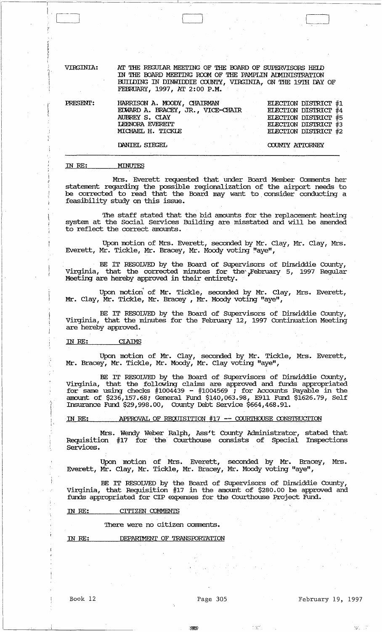VIRGINIA:

AT THE REGULAR MEETING OF THE BOARD OF SUPERVISORS HELD IN THE BOARD MEETING ROOM OF THE PAMPLIN ADMINISTRATION BUILDING IN DINWIDDIE COUNTY, VIRGINIA, ON THE 19TH DAY OF FEBRUARY, 1997, AT 2:00 P.M.

PRESENT:

HARRISON A. MOODY, CHAIRMAN<br>EDWARD A. BRACEY, JR., VICE-CHAIR AUBREY S. CIAY LEENORA EVERETT MICHAEL H. TICKLE

ELECTION DISTRICT #1 ELECTION DISTRICT #4 ELECTION DISTRICT #5 ELECTION DISTRICT #3 ELECTION DISTRICT #2

COUNTY ATTORNEY

DANIEL SIEGEL

#### MINUTES IN RE:

Mrs. Everett requested that under Board Member Comments her statement regarding the possible regionalization of the airport needs to be corrected to read that the Board may want to consider conducting a feasibility study on this issue.

The staff stated that the bid amounts for the replacement heating system at the Social Services Building are misstated and will be amended to reflect the correct amounts.

Upon motion of Mrs. Everett, seconded by Mr. Clay, Mr. Clay, Mrs. Everett, Mr. Tickle, Mr. Bracey, Mr. Moody voting "aye",

BE IT RESOLVED by the Board of Supervisors of Dinwiddie County, Virginia, that the corrected minutes for the February 5, 1997 Regular Meeting are hereby approved in their entirety.

Upon motion of Mr. Tickle, seconded by Mr. Clay, Mrs. Everett, Mr. Clay, Mr. Tickle, Mr. Bracey, Mr. Moody voting "aye",

BE IT RESOLVED by the Board of Supervisors of Dinwiddie County,<br>Virginia, that the minutes for the February 12, 1997 Continuation Meeting are hereby approved.

#### **CLAIMS** IN RE:

Upon motion of Mr. Clay, seconded by Mr. Tickle, Mrs. Everett, Mr. Bracey, Mr. Tickle, Mr. Moody, Mr. Clay voting "aye",

BE IT RESOLVED by the Board of Supervisors of Dinwiddie County, Virginia, that the following claims are approved and funds appropriated<br>for same using checks #1004439 - #1004569; for Accounts Payable in the<br>amount of \$236,157.68; General Fund \$140,063.98, E911 Fund \$1626.79, Self<br>Insur

IN RE: APPROVAL OF REQUISITION #17 -- COURTHOUSE CONSTRUCTION

Mrs. Wendy Weber Ralph, Ass't County Administrator, stated that Requisition #17 for the Courthouse consists of Special Inspections Services.

Upon motion of Mrs. Everett, seconded by Mr. Bracey, Mrs. Everett, Mr. Clay, Mr. Tickle, Mr. Bracey, Mr. Moody voting "aye",

BE IT RESOLVED by the Board of Supervisors of Dinwiddie County,<br>Virginia, that Requisition #17 in the amount of \$280.00 be approved and funds appropriated for CIP expenses for the Courthouse Project Fund.

CITIZEN COMMENIS IN RE:

There were no citizen comments.

DEPARIMENT OF TRANSPORTATION IN RE:

Book 12

Page 305

ma

February 19, 1997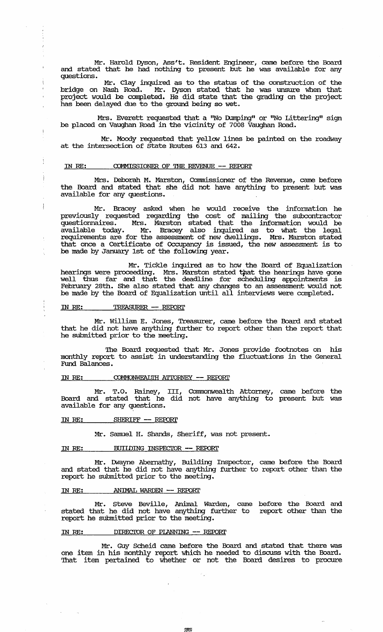Mr. Harold Dyson, Ass't. Resident Engineer, came before the Board and stated that he had nothing to present but he was available for any questions.

Mr. Clay inquired as to the status of the construction of the bridge on Nash Road. Mr. Dyson stated that he was unsure when that project would be completed. He did state that the grading on the project has been delayed due to the ground being so wet.

Mrs. Everett requested that a "No Dumping" or "No Littering" sign be placed on Vaughan Road in the vicinity of 7008 Vaughan Road.

Mr. Moody requested that yellow lines be painted on the roadway at the intersection of state Routes 613 and 642.

#### IN RE: COMMISSIONER OF THE REVENUE -- REPORT

Mrs. Deborah M. Marston, Commissioner of the Revenue, came before the Board and stated that she did not have anything to present but was available for any questions.

Mr. Bracey asked when he would receive the infonnation he previously requested regarding the cost of mailing the subcontractor questionnaires. Mrs. Marston stated that the infonnation would be available today. Mr. Bracey also inquired as to what the legal requirements are for the assessment of new dwellings. Mrs. Marston stated that once a Certificate of Occupancy is issued, the new assessment is to be made by January 1st of the following year.

Mr. Tickle inquired as to how the Board of Equalization hearings were proceeding. Mrs. Marston stated that the hearings have gone well thus far and that the deadline for scheduling appointments is February 28th. She also stated that any changes to an assessment would not be made by the Board of Equalization until all interviews were completed.

# IN RE: TREASURER -- REPORT

 $\mathfrak{t}$ 

 $\frac{1}{2}$ 

Ì

 $\frac{1}{2}$ 

Mr. william E. Jones, Treasurer, came before the Board and stated that he did not have anything further to report other than the report that he submitted prior to the meeting.

The Board requested that Mr. Jones provide footnotes on his monthly report to assist in understanding the fluctuations in the General Fund Balances.

#### IN RE:  $COMMONWEATIIH ATTORNEY -- REPORT$

Mr. T.O. Rainey, III, Commonwealth Attorney, came before the Board and stated that he did not have anything to present but was available for any questions.

### IN RE: SHERIFF -- REPORT

Mr. Samuel H. Shands, Sheriff, was not present.

#### IN RE: BUIIDING INSPECIOR -- REPORT

Mr. IMayne Abernathy, Building Inspector, came before the Board and stated that he did not have anything further to report other than the report he submitted prior to the meeting.

#### IN RE: . . . . . . ANIMAL WARDEN -- REPORT

Mr. Steve Beville, Animal Warden, came before the Board and stated that he did not have anything further to report other than the report he submitted prior to the meeting.

#### IN RE: DIRECTOR OF PLANNING -- REPORT

Mr. Guy Scheid came before the Board and stated that there was one item in his monthly report which he needed to discuss with the Board. That item pertained to whether or not the Board desires to procure

 $25.7$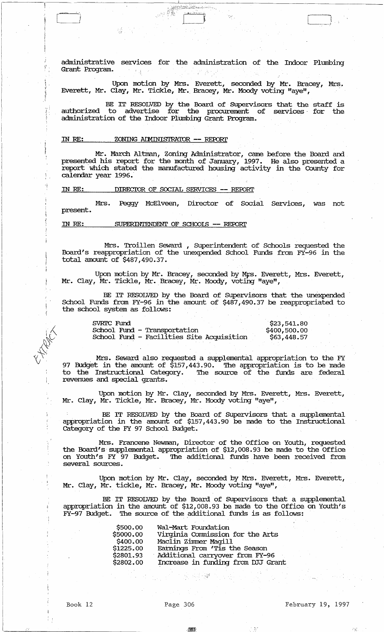administrative services for the administration of the Indoor Plumbing Grant Program.  $\mathbb{C}$  . <br> <br> <br> <br> <br> <br>

**Standard** 

Upon motion by Mrs. Everett, seconded by Mr. Bracey, Mrs. Everett, Mr. Clay, Mr. Tickle, Mr. Bracey, Mr. Moody voting "aye",

BE IT RESOLVED by the Board of Supervisors that the staff is<br>to advertise for the procurement of services for the authorized to advertise for the procurement of services for the administration of the Indoor PlUmbing Grant Program.

#### IN RE: ZONING ArMINISTRA'IOR **-- REroRr**

 $\ddot{i}$ 

٠,

Mr. March Altman, Zoning Administrator, came before the Board and presented his report for the month of January, 1997. He also presented a report which stated the manufactured housing activity in the County for calendar year 1996.·

IN RE: DIRECIOR OF SOCIAL SERVICES **-- REroRr** 

present. Mrs. Peggy McElveen, Director of Social Services, was not

IN RE: SUPERIN1'ENDENT OF SCHooIS **-- REroRl'** 

Mrs. Troillen Seward , Superintendent of Schools requested the Board's reappropriation of the unexpended School Funds from FY-96 in the total amount of \$487,490.37.

Upon motion by Mr. Bracey, seconded by Mrs. Everett, Mrs. Everett, Mr. Clay, Mr. Tickle, Mr •. Bracey, Mr. Moody, voting "aye",

BE IT RESOLVED by the Board of SUpervisors that the unexpended School Funds from FY-96 in the amount of \$487,490.37 be reappropriated to the school system as follows:

| SVRIC Fund                                | \$23,541.80  |
|-------------------------------------------|--------------|
| School Fund - Transportation              | \$400,500,00 |
| School Fund - Facilities Site Acquisition | \$63,448.57  |

Mrs. Seward also requested a supplemental appropriation to the FY 97 Budget in the amount of \$157,443.90. The appropriation is to be made to the Instructional Category. The source of the funds are federal revenues and special grants.

Upon motion by Mr. Clay, seconded by Mrs. Everett, Mrs. Everett, Mr. Clay, Mr. Tickle, Mr. Bracey, Mr. Moody voting "aye",

BE IT RESOLVED by the Board of SUpervisors that a supplemental appropriation in the amount of \$157,443.90 be made to the Instructional category of the FY 97 School Budget.

Mrs. Francene Newman, Director of the Office on Youth, requested the Board's supplemental appropriation of \$12,008.93 be made to the Office on Youth's FY 97 Budget. The additional funds have been received from several sources.

Upon motion by Mr. Clay, seconded by Mrs. Everett, Mrs. Everett, Mr. Clay, Mr. tickle, Mr. Bracey, Mr. Moody voting "aye",

BE IT RESOLVED by the Board of SUpervisors that a supplemental appropriation in the amount of \$12,008.93 be made to the Office on Youth's FY-97 Budget. The source of the additional funds is as follows:

| \$500.00  | Wal-Mart Foundation                |
|-----------|------------------------------------|
| \$5000.00 | Virginia Commission for the Arts   |
| \$400.00  | Maclin Zimmer Magill               |
| \$1225.00 | Earnings From 'Tis the Season      |
| \$2801.93 | Additional carryover from FY-96    |
| \$2802.00 | Increase in funding from DJJ Grant |

 $\mathcal{L}_{\mathcal{F}_{\mathbf{a}}}$ 

}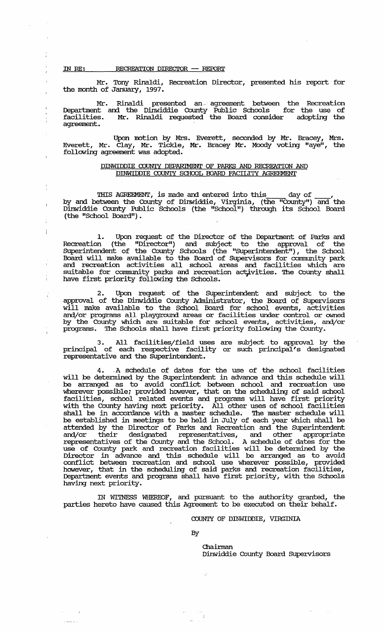IN RE: RECREATION DIRECIOR - REPORT

Å

Mr. Tony Rinaldi, Recreation Director, presented his report for the month of January, 1997.

Mr. Rinaldi presented an-agreement between the Recreation Deparbnent and the Dinwiddie County Public Schools for the use of facilities. Mr. Rinaldi requested the Board consider adopting the agreement.

Upon motion by Mrs. Everett, seconded by Mr. Bracey, Mrs. Everett, Mr. Clay, Mr. Tickle, Mr. Bracey Mr. Moody voting "aye", the following agreement was adopted.

## DINWIDDIE COUNTY DEPARIMENT OF PARKS AND RECREATION AND DINWIDDIE COUNTY SCHOOL BOARD FACILITY AGREEMENT

THIS AGREEMENT, is made and entered into this day of \_\_\_\_, by and between the County of Dinwiddie, Virginia, (the "County") and the Dinwiddie County Public Schools (the "School") through its School Board (the "School Board").

1. Upon request of the Director of the Department of Parks and Recreation (the "Director") and subject to the approval of the SUperintendent of the County Schools (the "SUperintendent"), the School Board will make available to the Board of Supervisors for community park and recreation activities all school areas and. facilities which are suitable for community parks and recreation activities. The County shall have first priority following the Schools.

2. Upon request of the SUperintendent and subject to the approval of the Dinwiddie County Administrator, the Board of SUpervisors will make available to the School Board for school events, activities and/or programs all playground areas or facilities under control or owned by the County which are suitable for school events, activities, and/or programs. '!he Schools shall have first priority following the County.

3. All facilities/field uses are subject to approval by the principal of each respective facility or such principal's designated representative and the SUperintendent.

4. .A schedule of dates for the use of the school facilities will be determined by the Superintendent in advance and this schedule will be arranged as to avoid conflict between school and recreation use wherever possible; provided however, that on the scheduling of said school facilities, school related events and programs will have first priority with the County having next priority. All other uses of school facilities shall be in accordance with a master schedule. The master schedule will be established in meetings to be held in July of each year which shall be attended by the Director of Parks and Recreation and the Superintendent and/or their designated representatives, and other appropriate representatives of the County and the School. A schedule of dates for the use of County park and recreation facilities will be detennined by the Director in advance and this schedule will be arranged as to avoid conflict between recreation and school use wherever possible, provided however, that in the scheduling of said parks and recreation facilities, Department events and programs shall have first priority, with the Schools having next priority.

IN WITNESS WHEREOF, and pursuant to the authority granted, the parties hereto have caused this Agreement to be executed on their behalf.

Ō,

# COUNTY OF DINWIDDIE, VJRGINIA

By

Chairman Dinwiddie County Board SUpervisors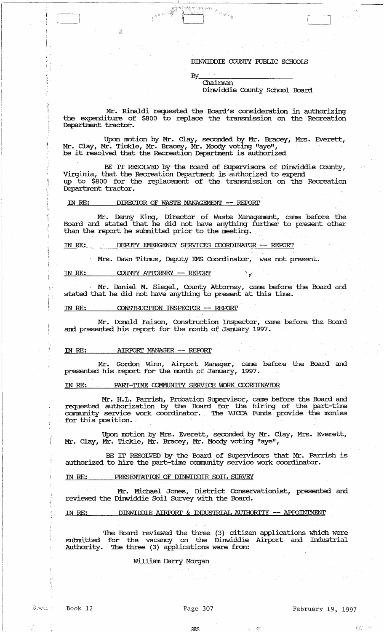#### DINWIDDIE COUNTY FUBLIC SCHOOIS

By<br>Chairman Dinwiddie County School Board  $\mathbf{I}$ 

Mr. Rinaldi requested the Board's consideration in authorizing the expenditure of \$800 to replace the transmission on the Recreation Department tractor.

Upon motion by Mr. Clay, seconded by Mr. Bracey, Mrs. Everett, Mr. Clay, Mr. Tickle, Mr. Bracey, Mr. Moody voting "aye", be it resolved that the Recreation Department is authorized

BE IT RESOLVED by the Board of SUpervisors of Dinwiddie County, Virginia, that the Recreation Department is authorized to expend up to \$800 for the replacement of the transmission on the Recreation Department tractor.

### IN *RE:* DIRECIOR OF WAS'lE MANAGEMENT -- REroRl'

Mr. Denny King, Director of Waste Management, came before the Board and stated that he did not have anything further to present other than the report he submitted prior to the meeting.

# IN RE: DEPUIY EMERGENCY SERVICES COORDINATOR -- REPORT

Mrs. Dawn Titmus, Deputy EMS Coordinator, was not present.

#### IN RE: COUNTY ATTORNEY -- REPORT

Mr. Daniel M. Siegel, County Attorney, came before the Board and stated that he did not have anything to present at this time.

### IN RE: CONSTRUCTION INSPECTOR -- REPORT

Mr. Donald Faison, Construction Inspector, came before the Board and presented his report for the month of January 1997.

#### IN RE: **AIRFORT MANAGER -- REPORT**

Mr. Gordon Winn, Airport Manager, came before the Board and presented his .report for the month of January, 1997.

# IN RE: PART-TIME COMMUNITY SERVICE WORK COORDINATOR

Mr. H.L. Parrish, Probation SuperVisor, came before the Board and requested authorization by the Board for the hiring of the part-time community service work coordinator. The VJCCA Funds provide the monies for this position.

Upon motion by Mrs. Everett, seconded by Mr. Clay, Mrs. Everett, Mr. Clay, Mr. Tickle, Mr. Bracey, Mr. Moody voting "aye",

BE IT RESOLVED by the Board of Supervisors that Mr. Parrish is authorized to hire the part-time community service work coordinator.

# IN *RE:* PRESENTATION OF DINWIDDIE SOIL SURVEY

Mr. Michael Jones, District Conservationist, presented and reviewed the Dinwiddie Soil survey with the Board.

# IN RE: DINWIDDIE AIRPORT & INDUSTRIAL AUTHORITY -- APPOINIMENT

The Board reviewed the three (3) citizen applications which were submitted for the vacancy on the Dinwiddie Airport and Industrial Authority. The three (3) applications were from:

# William Harry Morgan

 $\mathbf{i}$ i

> ., 'J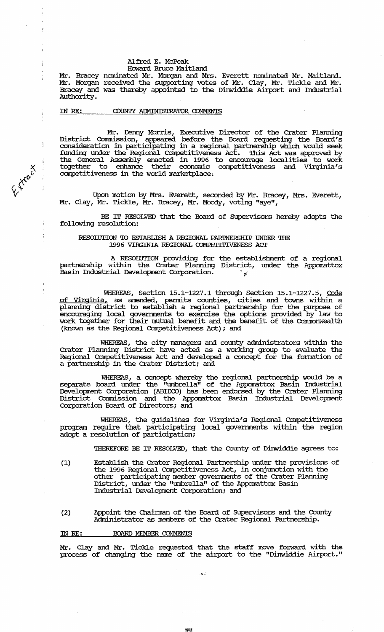# Alfred E. McPeak

# Howard Bruce Maitland

Mr. Bracey nominated Mr. Morgan and Mrs. Everett nominated Mr. Maitland. Mr. Morgan received the supporting votes of Mr. Clay, Mr. Tickle and Mr. Bracey and was thereby appointed to the Dinwiddie Airport and Industrial Authority.

### IN RE: COUNTY ALMINISTRATOR COMMENTS

 $\mathfrak{c}^-$ 

 $\mathbf{I}$ 

 $\frac{1}{2}$ 

*«tf"* 

Mr. Denny Morris, Executive Director of the Crater Planning District Conunission, appeared before the Board requesting the Board's consideration in participating in a regional partnership which would seek funding under the Regional COn'petitiveness Act. '!his Act was approved by the General Assembly enacted in 1996 to encourage localities to work together to enhance their economic competitiveness and Virginia's competitiveness in the world marketplace.

Upon motion by Mrs. Everett, seconded by Mr. Bracey, Mrs. Everett, Mr. Clay, Mr. Tickle, Mr. Bracey, Mr. Moody, voting "aye",

BE IT RESOLVED that the Board of SUpervisors hereby adopts the following resolution:

#### RESOIUTION TO ESTABLISH A REGIONAL PARINERSHIP UNDER THE 1996 VIRGINIA REGIONAL COMPETITIVENESS ACT

A RESOIUTION providing for the establishment of a regional partnership within the Crater Planning District, under the Appomattox Basin Industrial Development Corporation.  $\gamma$ 

WHEREAS, Section 15.1-1227.1 through Section 15.1-1227.5, Code of Virginia, as amended, pennits counties, cities and towns within a planning district to establish a regional partnership for the purpose of encouraging local governments to exercise the options provided by law to work together for their mutual benefit and the benefit of the Commonwealth (known as the Regional Competitiveness Act); and

WHEREAS, the city managers and county administrators within the Crater Planning District have acted as a working group to evaluate the Regional COn'petitiveness Act and developed a concept for the fonnation of a partnership in the Crater District; and

WHEREAS, a concept whereby the regional partnership would be a separate board under the "umbrella" of the Appomattox Basin Industrial Development Corporation (ABIJXX) has been endorsed by the Crater Planning District Commission and the Appomattox Basin Industrial Development Corporation Board of Directors; and

WHEREAS, the guidelines for Virginia's Regional Competitiveness program require that participating local governments within the region adopt a resolution of participation;

THEREFORE BE IT RESOLVED, that the County of Dinwiddie agrees to:

- (1) Establish the Crater Regional Partnership under the provisions of the 1996 Regional Competitiveness Act, in conjunction with the other participating member governments of the Crater Planning District, under the "umbrella" of the Appomattox Basin Industrial Development Corporation; and
- (2) Appoint the Chainnan of the Board of Supervisors and the County Administrator as members of the Crater Regional Partnership.

#### IN RE: BOARD MEMBER COMMENTS

Mr. Clay and Mr. Tickle requested that the staff move forward with the process of changing the name of the airport to the "Dinwiddie Airport."

. !f. ...

I)W,(.

بالمحدث السرار